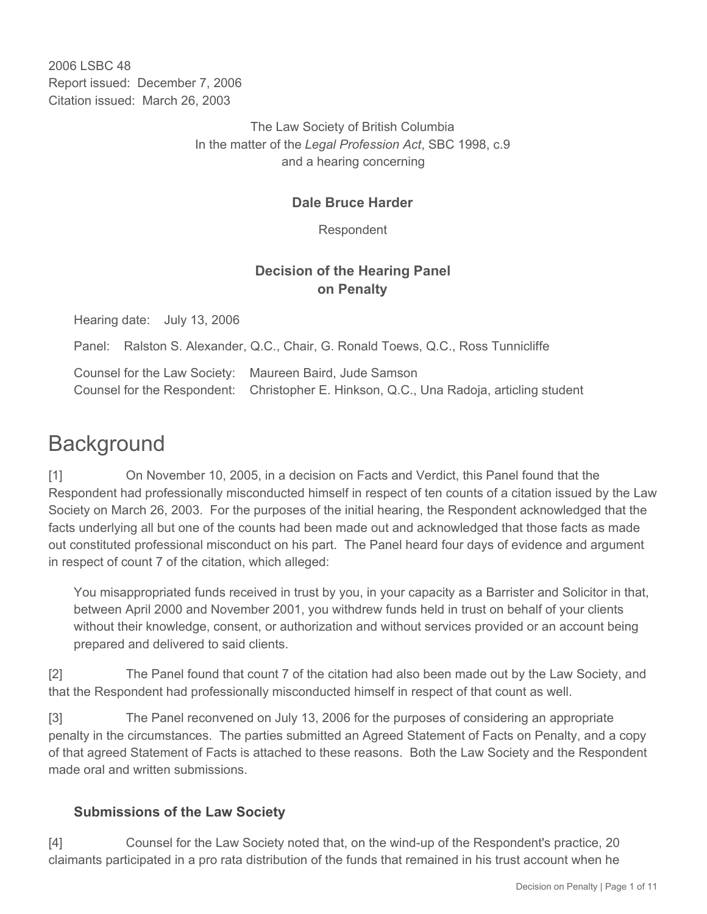2006 LSBC 48 Report issued: December 7, 2006 Citation issued: March 26, 2003

> The Law Society of British Columbia In the matter of the *Legal Profession Act*, SBC 1998, c.9 and a hearing concerning

## **Dale Bruce Harder**

Respondent

## **Decision of the Hearing Panel on Penalty**

Hearing date: July 13, 2006

Panel: Ralston S. Alexander, Q.C., Chair, G. Ronald Toews, Q.C., Ross Tunnicliffe

Counsel for the Law Society: Maureen Baird, Jude Samson Counsel for the Respondent: Christopher E. Hinkson, Q.C., Una Radoja, articling student

# **Background**

[1] On November 10, 2005, in a decision on Facts and Verdict, this Panel found that the Respondent had professionally misconducted himself in respect of ten counts of a citation issued by the Law Society on March 26, 2003. For the purposes of the initial hearing, the Respondent acknowledged that the facts underlying all but one of the counts had been made out and acknowledged that those facts as made out constituted professional misconduct on his part. The Panel heard four days of evidence and argument in respect of count 7 of the citation, which alleged:

You misappropriated funds received in trust by you, in your capacity as a Barrister and Solicitor in that, between April 2000 and November 2001, you withdrew funds held in trust on behalf of your clients without their knowledge, consent, or authorization and without services provided or an account being prepared and delivered to said clients.

[2] The Panel found that count 7 of the citation had also been made out by the Law Society, and that the Respondent had professionally misconducted himself in respect of that count as well.

[3] The Panel reconvened on July 13, 2006 for the purposes of considering an appropriate penalty in the circumstances. The parties submitted an Agreed Statement of Facts on Penalty, and a copy of that agreed Statement of Facts is attached to these reasons. Both the Law Society and the Respondent made oral and written submissions.

## **Submissions of the Law Society**

[4] Counsel for the Law Society noted that, on the wind-up of the Respondent's practice, 20 claimants participated in a pro rata distribution of the funds that remained in his trust account when he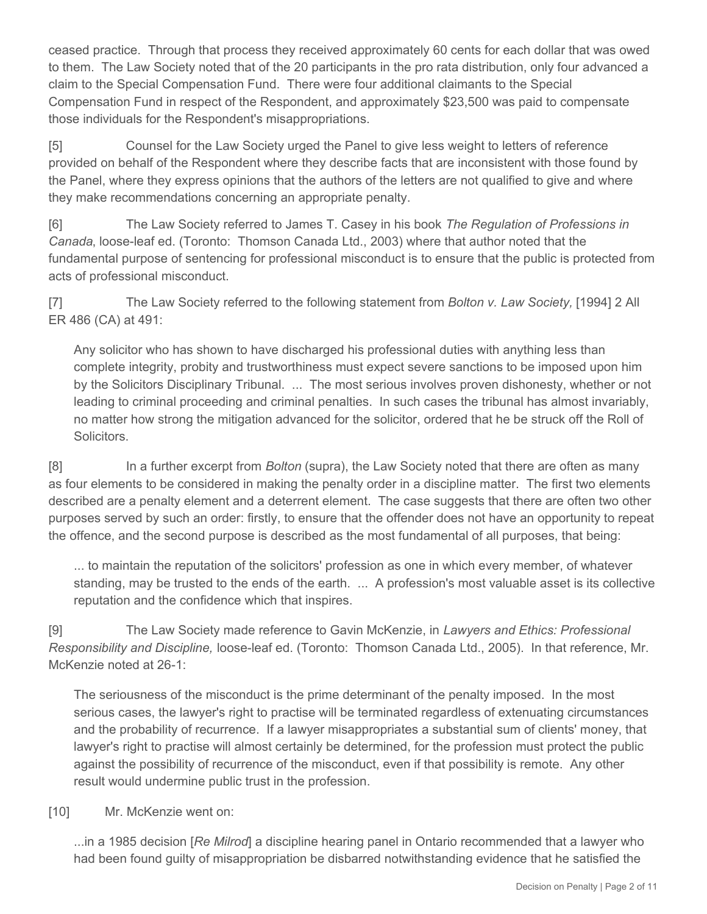ceased practice. Through that process they received approximately 60 cents for each dollar that was owed to them. The Law Society noted that of the 20 participants in the pro rata distribution, only four advanced a claim to the Special Compensation Fund. There were four additional claimants to the Special Compensation Fund in respect of the Respondent, and approximately \$23,500 was paid to compensate those individuals for the Respondent's misappropriations.

[5] Counsel for the Law Society urged the Panel to give less weight to letters of reference provided on behalf of the Respondent where they describe facts that are inconsistent with those found by the Panel, where they express opinions that the authors of the letters are not qualified to give and where they make recommendations concerning an appropriate penalty.

[6] The Law Society referred to James T. Casey in his book *The Regulation of Professions in Canada*, loose-leaf ed. (Toronto: Thomson Canada Ltd., 2003) where that author noted that the fundamental purpose of sentencing for professional misconduct is to ensure that the public is protected from acts of professional misconduct.

[7] The Law Society referred to the following statement from *Bolton v. Law Society,* [1994] 2 All ER 486 (CA) at 491:

Any solicitor who has shown to have discharged his professional duties with anything less than complete integrity, probity and trustworthiness must expect severe sanctions to be imposed upon him by the Solicitors Disciplinary Tribunal. ... The most serious involves proven dishonesty, whether or not leading to criminal proceeding and criminal penalties. In such cases the tribunal has almost invariably, no matter how strong the mitigation advanced for the solicitor, ordered that he be struck off the Roll of **Solicitors** 

[8] In a further excerpt from *Bolton* (supra), the Law Society noted that there are often as many as four elements to be considered in making the penalty order in a discipline matter. The first two elements described are a penalty element and a deterrent element. The case suggests that there are often two other purposes served by such an order: firstly, to ensure that the offender does not have an opportunity to repeat the offence, and the second purpose is described as the most fundamental of all purposes, that being:

... to maintain the reputation of the solicitors' profession as one in which every member, of whatever standing, may be trusted to the ends of the earth. ... A profession's most valuable asset is its collective reputation and the confidence which that inspires.

[9] The Law Society made reference to Gavin McKenzie, in *Lawyers and Ethics: Professional Responsibility and Discipline,* loose-leaf ed. (Toronto: Thomson Canada Ltd., 2005). In that reference, Mr. McKenzie noted at 26-1:

The seriousness of the misconduct is the prime determinant of the penalty imposed. In the most serious cases, the lawyer's right to practise will be terminated regardless of extenuating circumstances and the probability of recurrence. If a lawyer misappropriates a substantial sum of clients' money, that lawyer's right to practise will almost certainly be determined, for the profession must protect the public against the possibility of recurrence of the misconduct, even if that possibility is remote. Any other result would undermine public trust in the profession.

[10] Mr. McKenzie went on:

...in a 1985 decision [*Re Milrod*] a discipline hearing panel in Ontario recommended that a lawyer who had been found guilty of misappropriation be disbarred notwithstanding evidence that he satisfied the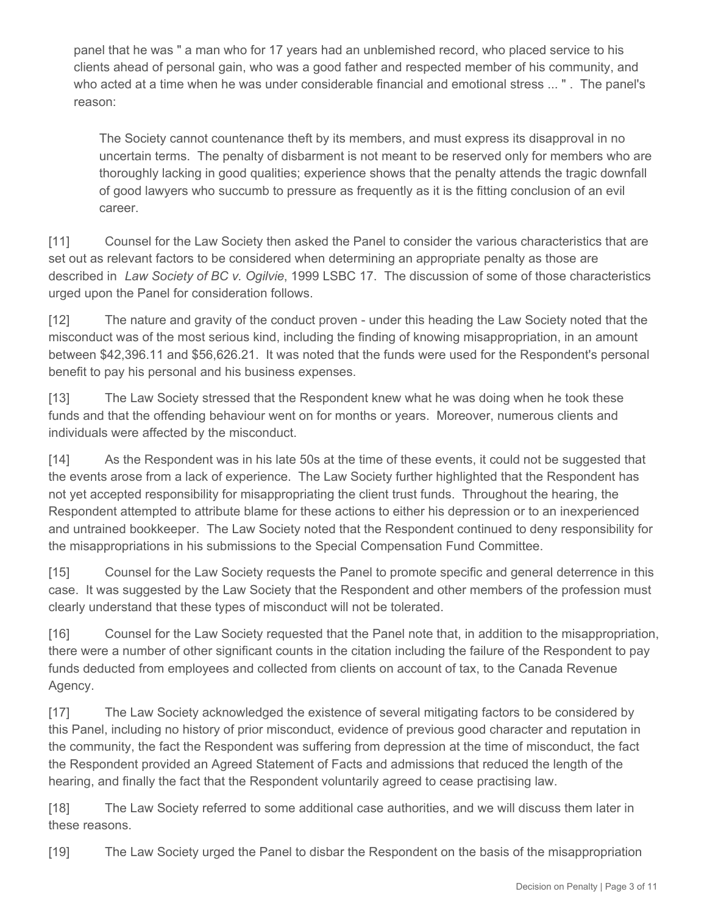panel that he was " a man who for 17 years had an unblemished record, who placed service to his clients ahead of personal gain, who was a good father and respected member of his community, and who acted at a time when he was under considerable financial and emotional stress ... " . The panel's reason:

The Society cannot countenance theft by its members, and must express its disapproval in no uncertain terms. The penalty of disbarment is not meant to be reserved only for members who are thoroughly lacking in good qualities; experience shows that the penalty attends the tragic downfall of good lawyers who succumb to pressure as frequently as it is the fitting conclusion of an evil career.

[11] Counsel for the Law Society then asked the Panel to consider the various characteristics that are set out as relevant factors to be considered when determining an appropriate penalty as those are described in *Law Society of BC v. Ogilvie*, 1999 LSBC 17. The discussion of some of those characteristics urged upon the Panel for consideration follows.

[12] The nature and gravity of the conduct proven - under this heading the Law Society noted that the misconduct was of the most serious kind, including the finding of knowing misappropriation, in an amount between \$42,396.11 and \$56,626.21. It was noted that the funds were used for the Respondent's personal benefit to pay his personal and his business expenses.

[13] The Law Society stressed that the Respondent knew what he was doing when he took these funds and that the offending behaviour went on for months or years. Moreover, numerous clients and individuals were affected by the misconduct.

[14] As the Respondent was in his late 50s at the time of these events, it could not be suggested that the events arose from a lack of experience. The Law Society further highlighted that the Respondent has not yet accepted responsibility for misappropriating the client trust funds. Throughout the hearing, the Respondent attempted to attribute blame for these actions to either his depression or to an inexperienced and untrained bookkeeper. The Law Society noted that the Respondent continued to deny responsibility for the misappropriations in his submissions to the Special Compensation Fund Committee.

[15] Counsel for the Law Society requests the Panel to promote specific and general deterrence in this case. It was suggested by the Law Society that the Respondent and other members of the profession must clearly understand that these types of misconduct will not be tolerated.

[16] Counsel for the Law Society requested that the Panel note that, in addition to the misappropriation, there were a number of other significant counts in the citation including the failure of the Respondent to pay funds deducted from employees and collected from clients on account of tax, to the Canada Revenue Agency.

[17] The Law Society acknowledged the existence of several mitigating factors to be considered by this Panel, including no history of prior misconduct, evidence of previous good character and reputation in the community, the fact the Respondent was suffering from depression at the time of misconduct, the fact the Respondent provided an Agreed Statement of Facts and admissions that reduced the length of the hearing, and finally the fact that the Respondent voluntarily agreed to cease practising law.

[18] The Law Society referred to some additional case authorities, and we will discuss them later in these reasons.

[19] The Law Society urged the Panel to disbar the Respondent on the basis of the misappropriation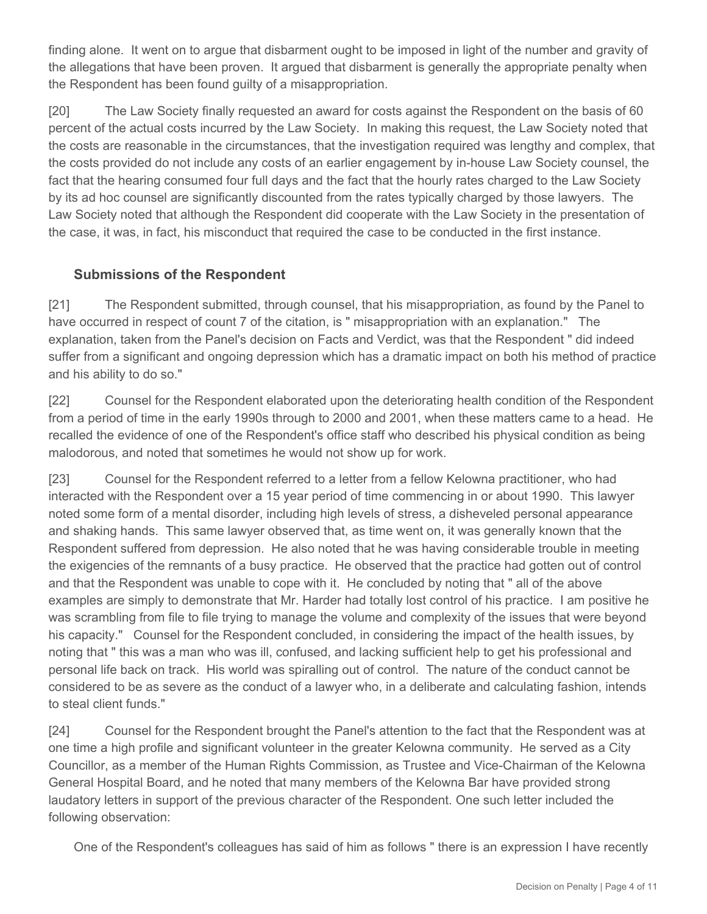finding alone. It went on to argue that disbarment ought to be imposed in light of the number and gravity of the allegations that have been proven. It argued that disbarment is generally the appropriate penalty when the Respondent has been found guilty of a misappropriation.

[20] The Law Society finally requested an award for costs against the Respondent on the basis of 60 percent of the actual costs incurred by the Law Society. In making this request, the Law Society noted that the costs are reasonable in the circumstances, that the investigation required was lengthy and complex, that the costs provided do not include any costs of an earlier engagement by in-house Law Society counsel, the fact that the hearing consumed four full days and the fact that the hourly rates charged to the Law Society by its ad hoc counsel are significantly discounted from the rates typically charged by those lawyers. The Law Society noted that although the Respondent did cooperate with the Law Society in the presentation of the case, it was, in fact, his misconduct that required the case to be conducted in the first instance.

#### **Submissions of the Respondent**

[21] The Respondent submitted, through counsel, that his misappropriation, as found by the Panel to have occurred in respect of count 7 of the citation, is " misappropriation with an explanation." The explanation, taken from the Panel's decision on Facts and Verdict, was that the Respondent " did indeed suffer from a significant and ongoing depression which has a dramatic impact on both his method of practice and his ability to do so."

[22] Counsel for the Respondent elaborated upon the deteriorating health condition of the Respondent from a period of time in the early 1990s through to 2000 and 2001, when these matters came to a head. He recalled the evidence of one of the Respondent's office staff who described his physical condition as being malodorous, and noted that sometimes he would not show up for work.

[23] Counsel for the Respondent referred to a letter from a fellow Kelowna practitioner, who had interacted with the Respondent over a 15 year period of time commencing in or about 1990. This lawyer noted some form of a mental disorder, including high levels of stress, a disheveled personal appearance and shaking hands. This same lawyer observed that, as time went on, it was generally known that the Respondent suffered from depression. He also noted that he was having considerable trouble in meeting the exigencies of the remnants of a busy practice. He observed that the practice had gotten out of control and that the Respondent was unable to cope with it. He concluded by noting that " all of the above examples are simply to demonstrate that Mr. Harder had totally lost control of his practice. I am positive he was scrambling from file to file trying to manage the volume and complexity of the issues that were beyond his capacity." Counsel for the Respondent concluded, in considering the impact of the health issues, by noting that " this was a man who was ill, confused, and lacking sufficient help to get his professional and personal life back on track. His world was spiralling out of control. The nature of the conduct cannot be considered to be as severe as the conduct of a lawyer who, in a deliberate and calculating fashion, intends to steal client funds."

[24] Counsel for the Respondent brought the Panel's attention to the fact that the Respondent was at one time a high profile and significant volunteer in the greater Kelowna community. He served as a City Councillor, as a member of the Human Rights Commission, as Trustee and Vice-Chairman of the Kelowna General Hospital Board, and he noted that many members of the Kelowna Bar have provided strong laudatory letters in support of the previous character of the Respondent. One such letter included the following observation:

One of the Respondent's colleagues has said of him as follows " there is an expression I have recently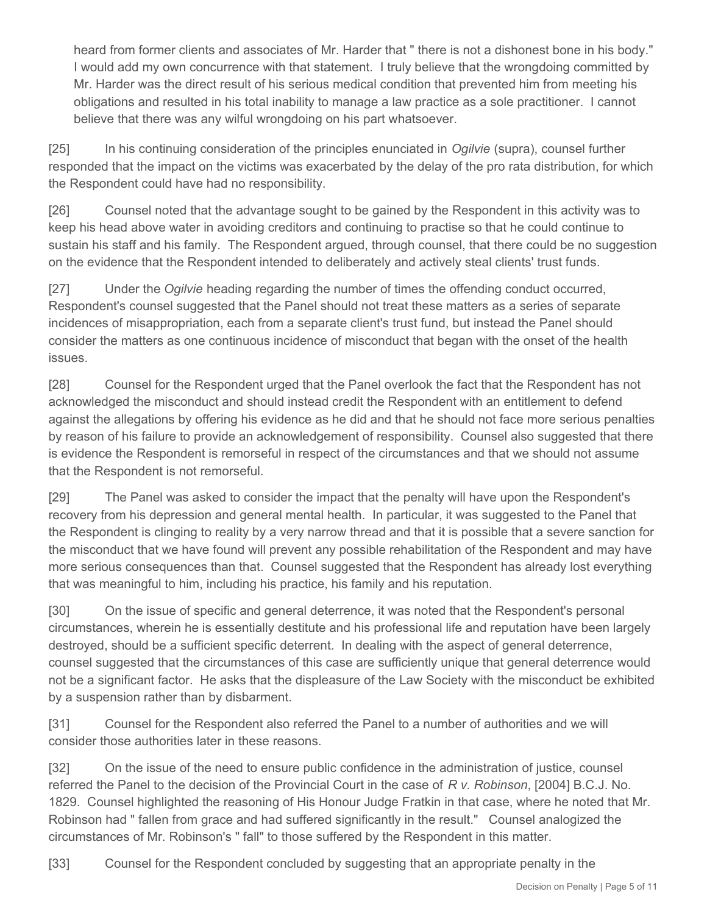heard from former clients and associates of Mr. Harder that " there is not a dishonest bone in his body." I would add my own concurrence with that statement. I truly believe that the wrongdoing committed by Mr. Harder was the direct result of his serious medical condition that prevented him from meeting his obligations and resulted in his total inability to manage a law practice as a sole practitioner. I cannot believe that there was any wilful wrongdoing on his part whatsoever.

[25] In his continuing consideration of the principles enunciated in *Ogilvie* (supra), counsel further responded that the impact on the victims was exacerbated by the delay of the pro rata distribution, for which the Respondent could have had no responsibility.

[26] Counsel noted that the advantage sought to be gained by the Respondent in this activity was to keep his head above water in avoiding creditors and continuing to practise so that he could continue to sustain his staff and his family. The Respondent argued, through counsel, that there could be no suggestion on the evidence that the Respondent intended to deliberately and actively steal clients' trust funds.

[27] Under the *Ogilvie* heading regarding the number of times the offending conduct occurred, Respondent's counsel suggested that the Panel should not treat these matters as a series of separate incidences of misappropriation, each from a separate client's trust fund, but instead the Panel should consider the matters as one continuous incidence of misconduct that began with the onset of the health issues.

[28] Counsel for the Respondent urged that the Panel overlook the fact that the Respondent has not acknowledged the misconduct and should instead credit the Respondent with an entitlement to defend against the allegations by offering his evidence as he did and that he should not face more serious penalties by reason of his failure to provide an acknowledgement of responsibility. Counsel also suggested that there is evidence the Respondent is remorseful in respect of the circumstances and that we should not assume that the Respondent is not remorseful.

[29] The Panel was asked to consider the impact that the penalty will have upon the Respondent's recovery from his depression and general mental health. In particular, it was suggested to the Panel that the Respondent is clinging to reality by a very narrow thread and that it is possible that a severe sanction for the misconduct that we have found will prevent any possible rehabilitation of the Respondent and may have more serious consequences than that. Counsel suggested that the Respondent has already lost everything that was meaningful to him, including his practice, his family and his reputation.

[30] On the issue of specific and general deterrence, it was noted that the Respondent's personal circumstances, wherein he is essentially destitute and his professional life and reputation have been largely destroyed, should be a sufficient specific deterrent. In dealing with the aspect of general deterrence, counsel suggested that the circumstances of this case are sufficiently unique that general deterrence would not be a significant factor. He asks that the displeasure of the Law Society with the misconduct be exhibited by a suspension rather than by disbarment.

[31] Counsel for the Respondent also referred the Panel to a number of authorities and we will consider those authorities later in these reasons.

[32] On the issue of the need to ensure public confidence in the administration of justice, counsel referred the Panel to the decision of the Provincial Court in the case of *R v. Robinson*, [2004] B.C.J. No. 1829. Counsel highlighted the reasoning of His Honour Judge Fratkin in that case, where he noted that Mr. Robinson had " fallen from grace and had suffered significantly in the result." Counsel analogized the circumstances of Mr. Robinson's " fall" to those suffered by the Respondent in this matter.

[33] Counsel for the Respondent concluded by suggesting that an appropriate penalty in the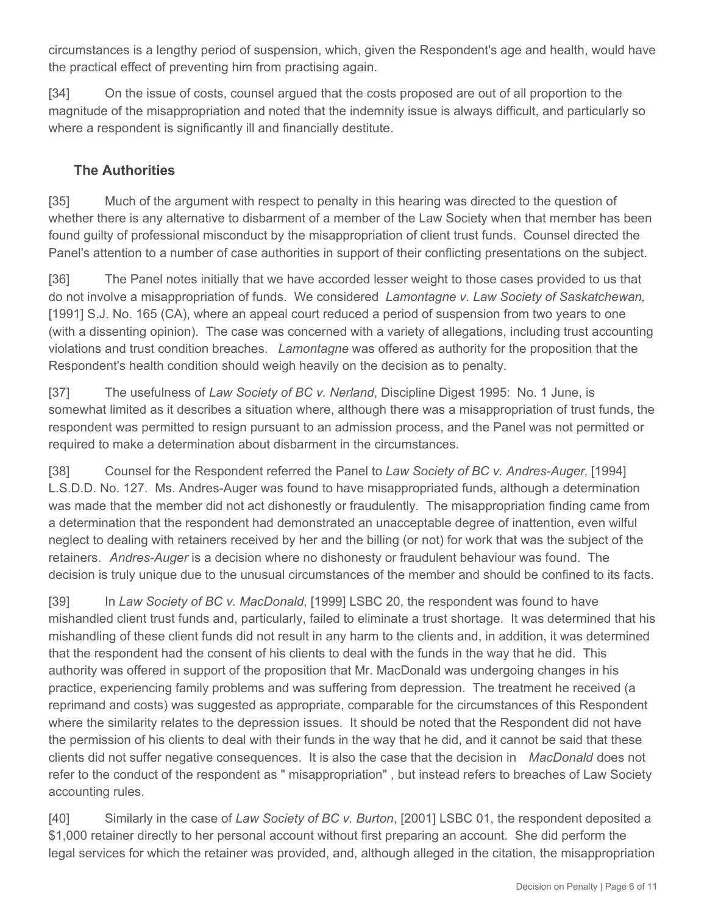circumstances is a lengthy period of suspension, which, given the Respondent's age and health, would have the practical effect of preventing him from practising again.

[34] On the issue of costs, counsel argued that the costs proposed are out of all proportion to the magnitude of the misappropriation and noted that the indemnity issue is always difficult, and particularly so where a respondent is significantly ill and financially destitute.

### **The Authorities**

[35] Much of the argument with respect to penalty in this hearing was directed to the question of whether there is any alternative to disbarment of a member of the Law Society when that member has been found guilty of professional misconduct by the misappropriation of client trust funds. Counsel directed the Panel's attention to a number of case authorities in support of their conflicting presentations on the subject.

[36] The Panel notes initially that we have accorded lesser weight to those cases provided to us that do not involve a misappropriation of funds. We considered *Lamontagne v. Law Society of Saskatchewan,* [1991] S.J. No. 165 (CA), where an appeal court reduced a period of suspension from two years to one (with a dissenting opinion). The case was concerned with a variety of allegations, including trust accounting violations and trust condition breaches. *Lamontagne* was offered as authority for the proposition that the Respondent's health condition should weigh heavily on the decision as to penalty.

[37] The usefulness of *Law Society of BC v. Nerland*, Discipline Digest 1995: No. 1 June, is somewhat limited as it describes a situation where, although there was a misappropriation of trust funds, the respondent was permitted to resign pursuant to an admission process, and the Panel was not permitted or required to make a determination about disbarment in the circumstances.

[38] Counsel for the Respondent referred the Panel to *Law Society of BC v. Andres-Auger,* [1994] L.S.D.D. No. 127. Ms. Andres-Auger was found to have misappropriated funds, although a determination was made that the member did not act dishonestly or fraudulently. The misappropriation finding came from a determination that the respondent had demonstrated an unacceptable degree of inattention, even wilful neglect to dealing with retainers received by her and the billing (or not) for work that was the subject of the retainers. *Andres-Auger* is a decision where no dishonesty or fraudulent behaviour was found. The decision is truly unique due to the unusual circumstances of the member and should be confined to its facts.

[39] In *Law Society of BC v. MacDonald*, [1999] LSBC 20, the respondent was found to have mishandled client trust funds and, particularly, failed to eliminate a trust shortage. It was determined that his mishandling of these client funds did not result in any harm to the clients and, in addition, it was determined that the respondent had the consent of his clients to deal with the funds in the way that he did. This authority was offered in support of the proposition that Mr. MacDonald was undergoing changes in his practice, experiencing family problems and was suffering from depression. The treatment he received (a reprimand and costs) was suggested as appropriate, comparable for the circumstances of this Respondent where the similarity relates to the depression issues. It should be noted that the Respondent did not have the permission of his clients to deal with their funds in the way that he did, and it cannot be said that these clients did not suffer negative consequences. It is also the case that the decision in *MacDonald* does not refer to the conduct of the respondent as " misappropriation" , but instead refers to breaches of Law Society accounting rules.

[40] Similarly in the case of *Law Society of BC v. Burton*, [2001] LSBC 01, the respondent deposited a \$1,000 retainer directly to her personal account without first preparing an account. She did perform the legal services for which the retainer was provided, and, although alleged in the citation, the misappropriation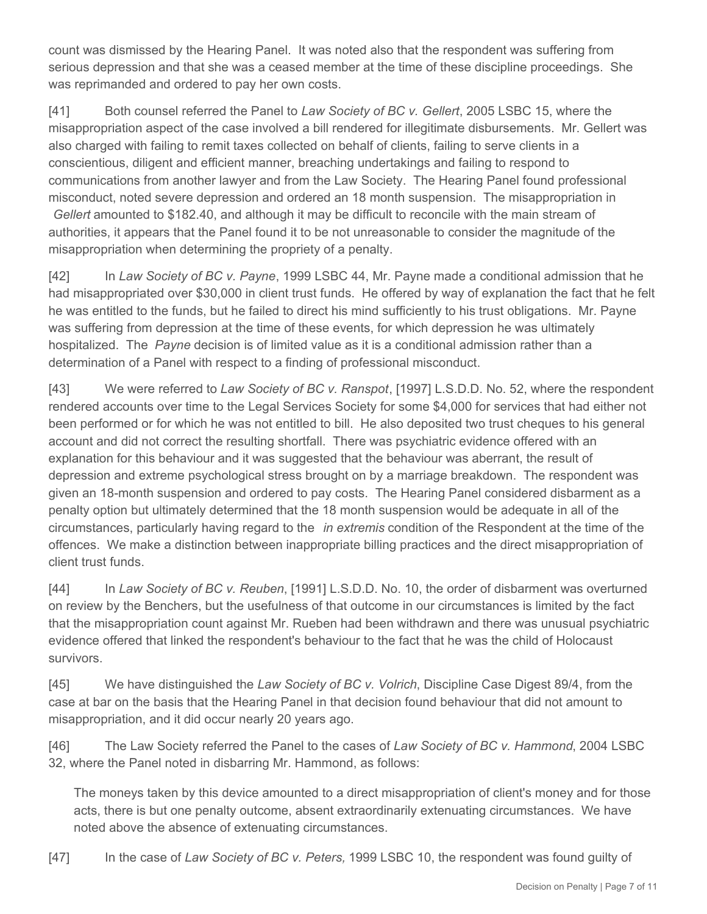count was dismissed by the Hearing Panel. It was noted also that the respondent was suffering from serious depression and that she was a ceased member at the time of these discipline proceedings. She was reprimanded and ordered to pay her own costs.

[41] Both counsel referred the Panel to *Law Society of BC v. Gellert*, 2005 LSBC 15, where the misappropriation aspect of the case involved a bill rendered for illegitimate disbursements. Mr. Gellert was also charged with failing to remit taxes collected on behalf of clients, failing to serve clients in a conscientious, diligent and efficient manner, breaching undertakings and failing to respond to communications from another lawyer and from the Law Society. The Hearing Panel found professional misconduct, noted severe depression and ordered an 18 month suspension. The misappropriation in *Gellert* amounted to \$182.40, and although it may be difficult to reconcile with the main stream of authorities, it appears that the Panel found it to be not unreasonable to consider the magnitude of the misappropriation when determining the propriety of a penalty.

[42] In *Law Society of BC v. Payne*, 1999 LSBC 44, Mr. Payne made a conditional admission that he had misappropriated over \$30,000 in client trust funds. He offered by way of explanation the fact that he felt he was entitled to the funds, but he failed to direct his mind sufficiently to his trust obligations. Mr. Payne was suffering from depression at the time of these events, for which depression he was ultimately hospitalized. The *Payne* decision is of limited value as it is a conditional admission rather than a determination of a Panel with respect to a finding of professional misconduct.

[43] We were referred to *Law Society of BC v. Ranspot*, [1997] L.S.D.D. No. 52, where the respondent rendered accounts over time to the Legal Services Society for some \$4,000 for services that had either not been performed or for which he was not entitled to bill. He also deposited two trust cheques to his general account and did not correct the resulting shortfall. There was psychiatric evidence offered with an explanation for this behaviour and it was suggested that the behaviour was aberrant, the result of depression and extreme psychological stress brought on by a marriage breakdown. The respondent was given an 18-month suspension and ordered to pay costs. The Hearing Panel considered disbarment as a penalty option but ultimately determined that the 18 month suspension would be adequate in all of the circumstances, particularly having regard to the *in extremis* condition of the Respondent at the time of the offences. We make a distinction between inappropriate billing practices and the direct misappropriation of client trust funds.

[44] In *Law Society of BC v. Reuben*, [1991] L.S.D.D. No. 10, the order of disbarment was overturned on review by the Benchers, but the usefulness of that outcome in our circumstances is limited by the fact that the misappropriation count against Mr. Rueben had been withdrawn and there was unusual psychiatric evidence offered that linked the respondent's behaviour to the fact that he was the child of Holocaust survivors.

[45] We have distinguished the *Law Society of BC v. Volrich*, Discipline Case Digest 89/4, from the case at bar on the basis that the Hearing Panel in that decision found behaviour that did not amount to misappropriation, and it did occur nearly 20 years ago.

[46] The Law Society referred the Panel to the cases of *Law Society of BC v. Hammond*, 2004 LSBC 32, where the Panel noted in disbarring Mr. Hammond, as follows:

The moneys taken by this device amounted to a direct misappropriation of client's money and for those acts, there is but one penalty outcome, absent extraordinarily extenuating circumstances. We have noted above the absence of extenuating circumstances.

[47] In the case of *Law Society of BC v. Peters,* 1999 LSBC 10, the respondent was found guilty of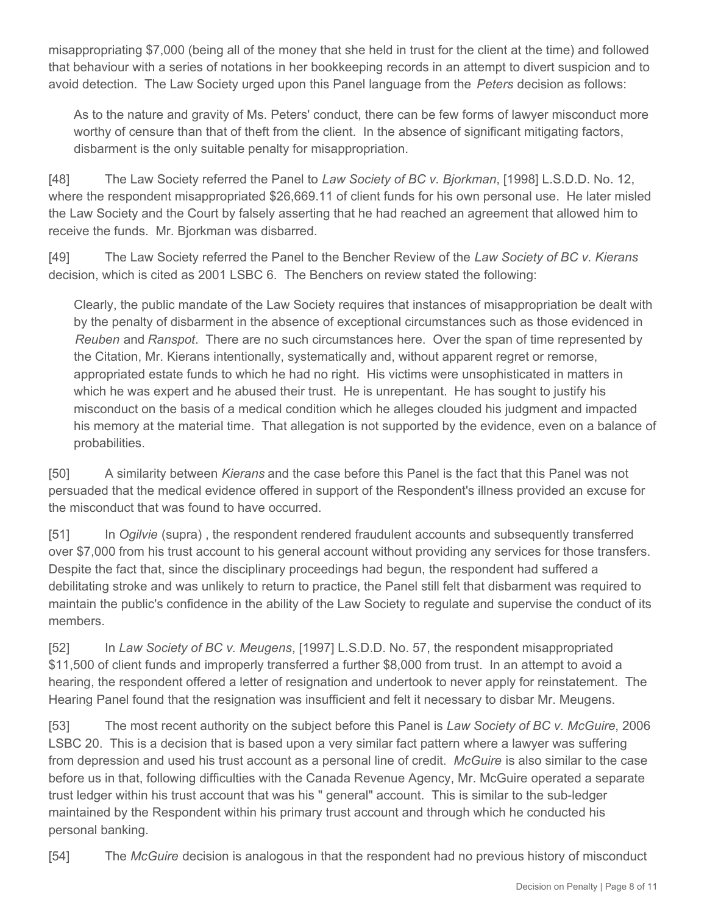misappropriating \$7,000 (being all of the money that she held in trust for the client at the time) and followed that behaviour with a series of notations in her bookkeeping records in an attempt to divert suspicion and to avoid detection. The Law Society urged upon this Panel language from the *Peters* decision as follows:

As to the nature and gravity of Ms. Peters' conduct, there can be few forms of lawyer misconduct more worthy of censure than that of theft from the client. In the absence of significant mitigating factors, disbarment is the only suitable penalty for misappropriation.

[48] The Law Society referred the Panel to *Law Society of BC v. Bjorkman*, [1998] L.S.D.D. No. 12, where the respondent misappropriated \$26,669.11 of client funds for his own personal use. He later misled the Law Society and the Court by falsely asserting that he had reached an agreement that allowed him to receive the funds. Mr. Bjorkman was disbarred.

[49] The Law Society referred the Panel to the Bencher Review of the *Law Society of BC v. Kierans* decision, which is cited as 2001 LSBC 6. The Benchers on review stated the following:

Clearly, the public mandate of the Law Society requires that instances of misappropriation be dealt with by the penalty of disbarment in the absence of exceptional circumstances such as those evidenced in *Reuben* and *Ranspot*. There are no such circumstances here. Over the span of time represented by the Citation, Mr. Kierans intentionally, systematically and, without apparent regret or remorse, appropriated estate funds to which he had no right. His victims were unsophisticated in matters in which he was expert and he abused their trust. He is unrepentant. He has sought to justify his misconduct on the basis of a medical condition which he alleges clouded his judgment and impacted his memory at the material time. That allegation is not supported by the evidence, even on a balance of probabilities.

[50] A similarity between *Kierans* and the case before this Panel is the fact that this Panel was not persuaded that the medical evidence offered in support of the Respondent's illness provided an excuse for the misconduct that was found to have occurred.

[51] In *Ogilvie* (supra) , the respondent rendered fraudulent accounts and subsequently transferred over \$7,000 from his trust account to his general account without providing any services for those transfers. Despite the fact that, since the disciplinary proceedings had begun, the respondent had suffered a debilitating stroke and was unlikely to return to practice, the Panel still felt that disbarment was required to maintain the public's confidence in the ability of the Law Society to regulate and supervise the conduct of its members.

[52] In *Law Society of BC v. Meugens*, [1997] L.S.D.D. No. 57, the respondent misappropriated \$11,500 of client funds and improperly transferred a further \$8,000 from trust. In an attempt to avoid a hearing, the respondent offered a letter of resignation and undertook to never apply for reinstatement. The Hearing Panel found that the resignation was insufficient and felt it necessary to disbar Mr. Meugens.

[53] The most recent authority on the subject before this Panel is *Law Society of BC v. McGuire*, 2006 LSBC 20. This is a decision that is based upon a very similar fact pattern where a lawyer was suffering from depression and used his trust account as a personal line of credit. *McGuire* is also similar to the case before us in that, following difficulties with the Canada Revenue Agency, Mr. McGuire operated a separate trust ledger within his trust account that was his " general" account. This is similar to the sub-ledger maintained by the Respondent within his primary trust account and through which he conducted his personal banking.

[54] The *McGuire* decision is analogous in that the respondent had no previous history of misconduct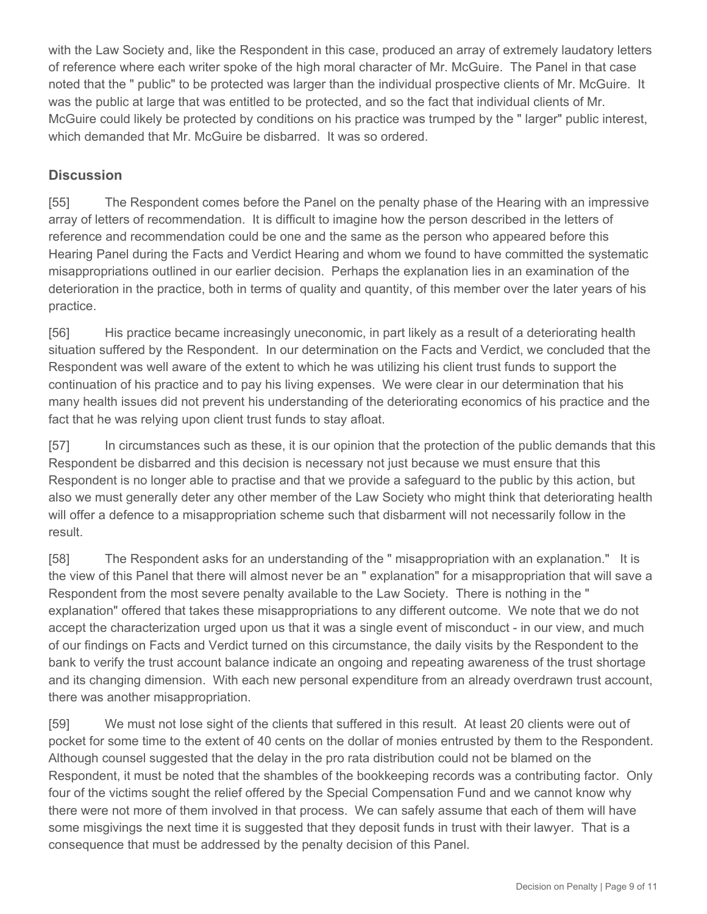with the Law Society and, like the Respondent in this case, produced an array of extremely laudatory letters of reference where each writer spoke of the high moral character of Mr. McGuire. The Panel in that case noted that the " public" to be protected was larger than the individual prospective clients of Mr. McGuire. It was the public at large that was entitled to be protected, and so the fact that individual clients of Mr. McGuire could likely be protected by conditions on his practice was trumped by the " larger" public interest, which demanded that Mr. McGuire be disbarred. It was so ordered.

### **Discussion**

[55] The Respondent comes before the Panel on the penalty phase of the Hearing with an impressive array of letters of recommendation. It is difficult to imagine how the person described in the letters of reference and recommendation could be one and the same as the person who appeared before this Hearing Panel during the Facts and Verdict Hearing and whom we found to have committed the systematic misappropriations outlined in our earlier decision. Perhaps the explanation lies in an examination of the deterioration in the practice, both in terms of quality and quantity, of this member over the later years of his practice.

[56] His practice became increasingly uneconomic, in part likely as a result of a deteriorating health situation suffered by the Respondent. In our determination on the Facts and Verdict, we concluded that the Respondent was well aware of the extent to which he was utilizing his client trust funds to support the continuation of his practice and to pay his living expenses. We were clear in our determination that his many health issues did not prevent his understanding of the deteriorating economics of his practice and the fact that he was relying upon client trust funds to stay afloat.

[57] In circumstances such as these, it is our opinion that the protection of the public demands that this Respondent be disbarred and this decision is necessary not just because we must ensure that this Respondent is no longer able to practise and that we provide a safeguard to the public by this action, but also we must generally deter any other member of the Law Society who might think that deteriorating health will offer a defence to a misappropriation scheme such that disbarment will not necessarily follow in the result.

[58] The Respondent asks for an understanding of the " misappropriation with an explanation." It is the view of this Panel that there will almost never be an " explanation" for a misappropriation that will save a Respondent from the most severe penalty available to the Law Society. There is nothing in the " explanation" offered that takes these misappropriations to any different outcome. We note that we do not accept the characterization urged upon us that it was a single event of misconduct - in our view, and much of our findings on Facts and Verdict turned on this circumstance, the daily visits by the Respondent to the bank to verify the trust account balance indicate an ongoing and repeating awareness of the trust shortage and its changing dimension. With each new personal expenditure from an already overdrawn trust account, there was another misappropriation.

[59] We must not lose sight of the clients that suffered in this result. At least 20 clients were out of pocket for some time to the extent of 40 cents on the dollar of monies entrusted by them to the Respondent. Although counsel suggested that the delay in the pro rata distribution could not be blamed on the Respondent, it must be noted that the shambles of the bookkeeping records was a contributing factor. Only four of the victims sought the relief offered by the Special Compensation Fund and we cannot know why there were not more of them involved in that process. We can safely assume that each of them will have some misgivings the next time it is suggested that they deposit funds in trust with their lawyer. That is a consequence that must be addressed by the penalty decision of this Panel.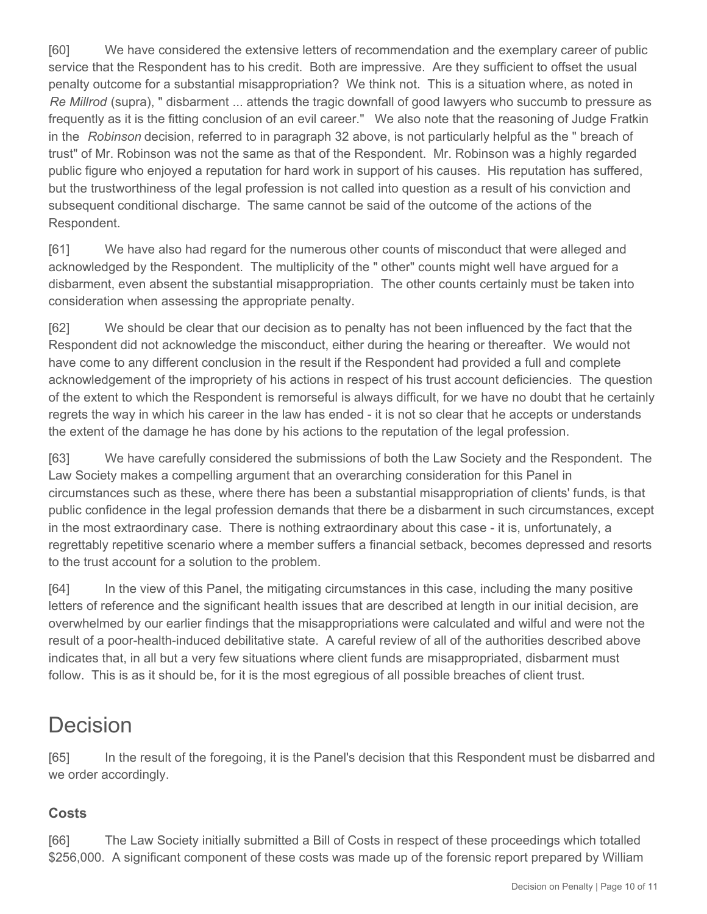[60] We have considered the extensive letters of recommendation and the exemplary career of public service that the Respondent has to his credit. Both are impressive. Are they sufficient to offset the usual penalty outcome for a substantial misappropriation? We think not. This is a situation where, as noted in *Re Millrod* (supra), " disbarment ... attends the tragic downfall of good lawyers who succumb to pressure as frequently as it is the fitting conclusion of an evil career." We also note that the reasoning of Judge Fratkin in the *Robinson* decision, referred to in paragraph 32 above, is not particularly helpful as the " breach of trust" of Mr. Robinson was not the same as that of the Respondent. Mr. Robinson was a highly regarded public figure who enjoyed a reputation for hard work in support of his causes. His reputation has suffered, but the trustworthiness of the legal profession is not called into question as a result of his conviction and subsequent conditional discharge. The same cannot be said of the outcome of the actions of the Respondent.

[61] We have also had regard for the numerous other counts of misconduct that were alleged and acknowledged by the Respondent. The multiplicity of the " other" counts might well have argued for a disbarment, even absent the substantial misappropriation. The other counts certainly must be taken into consideration when assessing the appropriate penalty.

[62] We should be clear that our decision as to penalty has not been influenced by the fact that the Respondent did not acknowledge the misconduct, either during the hearing or thereafter. We would not have come to any different conclusion in the result if the Respondent had provided a full and complete acknowledgement of the impropriety of his actions in respect of his trust account deficiencies. The question of the extent to which the Respondent is remorseful is always difficult, for we have no doubt that he certainly regrets the way in which his career in the law has ended - it is not so clear that he accepts or understands the extent of the damage he has done by his actions to the reputation of the legal profession.

[63] We have carefully considered the submissions of both the Law Society and the Respondent. The Law Society makes a compelling argument that an overarching consideration for this Panel in circumstances such as these, where there has been a substantial misappropriation of clients' funds, is that public confidence in the legal profession demands that there be a disbarment in such circumstances, except in the most extraordinary case. There is nothing extraordinary about this case - it is, unfortunately, a regrettably repetitive scenario where a member suffers a financial setback, becomes depressed and resorts to the trust account for a solution to the problem.

[64] In the view of this Panel, the mitigating circumstances in this case, including the many positive letters of reference and the significant health issues that are described at length in our initial decision, are overwhelmed by our earlier findings that the misappropriations were calculated and wilful and were not the result of a poor-health-induced debilitative state. A careful review of all of the authorities described above indicates that, in all but a very few situations where client funds are misappropriated, disbarment must follow. This is as it should be, for it is the most egregious of all possible breaches of client trust.

## Decision

[65] In the result of the foregoing, it is the Panel's decision that this Respondent must be disbarred and we order accordingly.

## **Costs**

[66] The Law Society initially submitted a Bill of Costs in respect of these proceedings which totalled \$256,000. A significant component of these costs was made up of the forensic report prepared by William